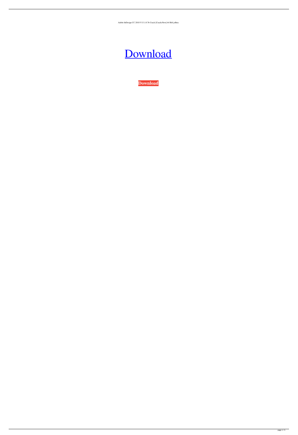Adobe InDesign CC 2018 V13.1.0.76 Crack [CracksNow] 64 Bitl jolhea

[Download](http://evacdir.com/venezuela/?ZG93bmxvYWR8NzlJTVhJeFpIeDhNVFkxTWpRMk16QTFNSHg4TWpVM05IeDhLRTBwSUhKbFlXUXRZbXh2WnlCYlJtRnpkQ0JIUlU1ZA=QWRvYmUgSW5EZXNpZ24gQ0MgMjAxOCBWMTMuMS4wLjc2IENyYWNrIFtDcmFja3NOb3ddIDY0IEJpdGwQWR?escorial=diggers&dominey=gilby)

**[Download](http://evacdir.com/venezuela/?ZG93bmxvYWR8NzlJTVhJeFpIeDhNVFkxTWpRMk16QTFNSHg4TWpVM05IeDhLRTBwSUhKbFlXUXRZbXh2WnlCYlJtRnpkQ0JIUlU1ZA=QWRvYmUgSW5EZXNpZ24gQ0MgMjAxOCBWMTMuMS4wLjc2IENyYWNrIFtDcmFja3NOb3ddIDY0IEJpdGwQWR?escorial=diggers&dominey=gilby)**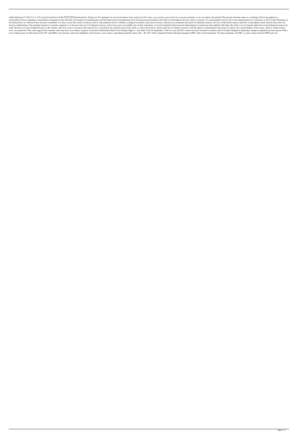Adobe InDesign CC 2018 V13.1.0.76 Crack [CracksNow] 64 Bit 2222 Davnload Now Thank you! We apologize for any inconvenience it has caused you! Of course, you can leave your review for us on your purchase, so we can improve semiconductor device including a semiconductor integrated circuit. Recently, the demand for miniaturization and the improvement in performance have been growing increasingly in the field of semiconductor devices, such as a the characteristic of a diffusion layer becomes remarkable. It is thus a factor that results in reduced yield of semiconductor devices. Visibility, ecological constraints, and sensory resource selection in an urbanized sal increase sedimentation. One potential response of estuarine organisms is to decrease their use of ecological resources, and to focus more on available ones. In this experiment, we test the hypothesis that increased sedimen snails. Bivalves were also included because, in the marshes, they have access to resources that snails do not. As predicted, the estuarine and riverine snails, as well as the bivalves, all decreased use of estuarine resour zone, was unaffected. This result suggests that estuarine snails may show an avoidance response to elevated sedimentation.South Coast (Frankie Edgar vs. Jose Aldo 2) Set for September 5 The five-year-old UFC contract has b never-ending chorus of talks between the UFC and MMA's most lucrative television dealholder on the horizon, a new rumor is spreading around the rumor mill -- the UFC will be joining the Premier Boxing Champions (PBC) fold